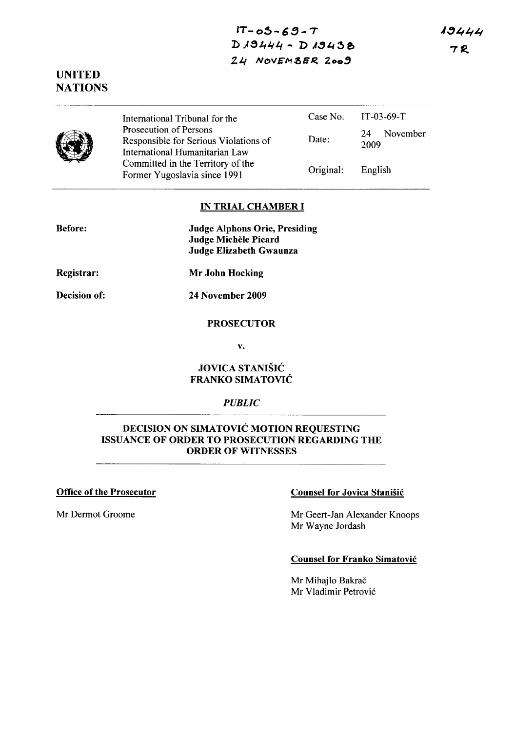$IT - 05 - 69 - T$ D 19444 - D 19438 *2.4 HOVEM* ~ER. **Zoo,** 

**UNITED NATIONS** 



International Tribunal for the Prosecution of Persons Responsible for Serious Violations of International Humanitarian Law Committed in the Territory of the Former Yugoslavia since 1991 Case No. Date: Original: IT-03-69-T 24 November 2009 English

## **IN TRIAL CHAMBER I**

| <b>Before:</b> | <b>Judge Alphons Orie, Presiding</b> |
|----------------|--------------------------------------|
|                | Judge Michèle Picard                 |
|                | Judge Elizabeth Gwaunza              |

**Registrar: Mr John Hocking** 

**Decision of:** 

**24 November 2009** 

#### **PROSECUTOR**

v.

## **JOVICA STANISIC FRANKO SIMATOVIC**

# *PUBLIC*

# **DECISION ON SIMATOVIC MOTION REQUESTING ISSUANCE OF ORDER TO PROSECUTION REGARDING THE ORDER OF WITNESSES**

#### **Office of the Prosecutor**

Mr Dermot Groome

## **Counsel for Jovica Stanisic**

Mr Geert-Jan Alexander Knoops Mr Wayne Jordash

### **Counsel for Franko Simatovic**

Mr Mihajlo Bakrač Mr Vladimir Petrovi6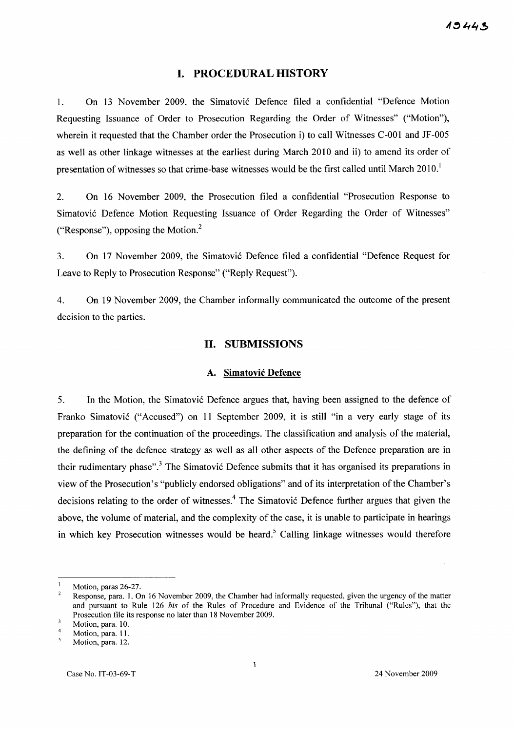#### I. PROCEDURAL HISTORY

l. On 13 November 2009, the Simatovic Defence filed a confidential "Defence Motion Requesting Issuance of Order to Prosecution Regarding the Order of Witnesses" ("Motion"), wherein it requested that the Chamber order the Prosecution i) to call Witnesses C-001 and JF-005 as well as other linkage witnesses at the earliest during March 2010 and ii) to amend its order of presentation of witnesses so that crime-base witnesses would be the first called until March  $2010<sup>1</sup>$ 

2. On 16 November 2009, the Prosecution filed a confidential "Prosecution Response to Simatovic Defence Motion Requesting Issuance of Order Regarding the Order of Witnesses" ("Response"), opposing the Motion?

3. On 17 November 2009, the Simatovic Defence filed a confidential "Defence Request for Leave to Reply to Prosecution Response" ("Reply Request").

4. On 19 November 2009, the Chamber informally communicated the outcome of the present decision to the parties.

#### 11. SUBMISSIONS

### A. Simatovic Defence

5. In the Motion, the Simatovic Defence argues that, having been assigned to the defence of Franko Simatovic ("Accused") on 11 September 2009, it is still "in a very early stage of its preparation for the continuation of the proceedings. The classification and analysis of the material, the defining of the defence strategy as well as all other aspects of the Defence preparation are in their rudimentary phase".<sup>3</sup> The Simatovic Defence submits that it has organised its preparations in view of the Prosecution's "publicly endorsed obligations" and of its interpretation of the Chamber's decisions relating to the order of witnesses.<sup>4</sup> The Simatovic Defence further argues that given the above, the volume of material, and the complexity of the case, it is unable to participate in hearings in which key Prosecution witnesses would be heard.<sup>5</sup> Calling linkage witnesses would therefore

Motion, paras 26-27.

 $\overline{2}$ Response, para. 1. On 16 November 2009, the Chamber had informally requested, given the urgency of the matter and pursuant to Rule 126 *his* of the Rules of Procedure and Evidence of the Tribunal ("Rules"), that the Prosecution file its response no later than 18 November 2009.

 $\overline{\mathbf{3}}$ Motion, para. 10.

Motion, para. 11.

<sup>5</sup> Motion, para. 12.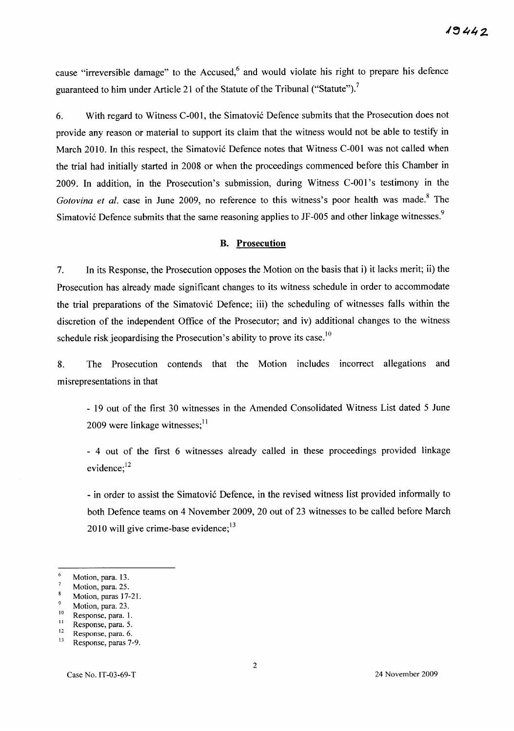cause "irreversible damage" to the Accused,<sup>6</sup> and would violate his right to prepare his defence guaranteed to him under Article 21 of the Statute of the Tribunal ("Statute").<sup>7</sup>

6. With regard to Witness C-001, the Simatović Defence submits that the Prosecution does not provide any reason or material to support its claim that the witness would not be able to testify in March 2010. In this respect, the Simatović Defence notes that Witness C-001 was not called when the trial had initially started in 2008 or when the proceedings commenced before this Chamber in 2009. In addition, in the Prosecution's submission, during Witness C-OOl 's testimony in the *Gotovina et al.* case in June 2009, no reference to this witness's poor health was made.<sup>8</sup> The Simatović Defence submits that the same reasoning applies to JF-005 and other linkage witnesses.<sup>9</sup>

#### B. Prosecution

7. In its Response, the Prosecution opposes the Motion on the basis that i) it lacks merit; ii) the Prosecution has already made significant changes to its witness schedule in order to accommodate the trial preparations of the Simatovi6 Defence; iii) the scheduling of witnesses falls within the discretion of the independent Office of the Prosecutor; and iv) additional changes to the witness schedule risk jeopardising the Prosecution's ability to prove its case.<sup>10</sup>

8. The Prosecution contends that the Motion includes incorrect allegations and misrepresentations in that

- 19 out of the first 30 witnesses in the Amended Consolidated Witness List dated 5 June 2009 were linkage witnesses; $^{11}$ 

- 4 out of the first 6 witnesses already called in these proceedings provided linkage evidence; $^{12}$ 

- in order to assist the Simatović Defence, in the revised witness list provided informally to both Defence teams on 4 November 2009, 20 out of 23 witnesses to be called before March 2010 will give crime-base evidence; $^{13}$ 

Motion, para. 23.

 $\bf 6$ Motion, para. 13.  $\overline{7}$ 

Motion, para. 25.  $\bf 8$ 

Motion, paras 17-2l.  $\mathbf{Q}$ 

 $10$  Response, para. 1.

 $\frac{11}{12}$  Response, para. 5. Response, para. 6.

<sup>13</sup> Response, paras 7-9.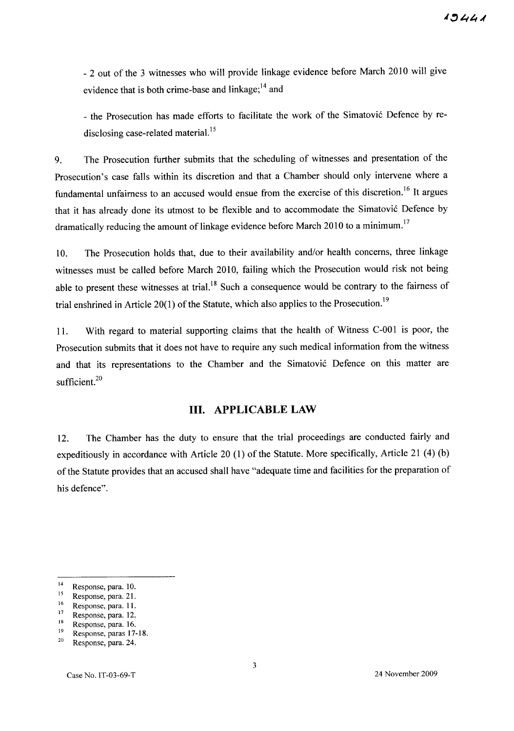- 2 out of the 3 witnesses who will provide linkage evidence before March 2010 will give evidence that is both crime-base and linkage; $^{14}$  and

- the Prosecution has made efforts to facilitate the work of the Simatović Defence by redisclosing case-related material.<sup>15</sup>

9. The Prosecution further submits that the scheduling of witnesses and presentation of the Prosecution's case falls within its discretion and that a Chamber should only intervene where a fundamental unfairness to an accused would ensue from the exercise of this discretion.<sup>16</sup> It argues that it has already done its utmost to be flexible and to accommodate the Simatović Defence by dramatically reducing the amount of linkage evidence before March 2010 to a minimum.<sup>17</sup>

10. The Prosecution holds that, due to their availability and/or health concerns, three linkage witnesses must be called before March 2010, failing which the Prosecution would risk not being able to present these witnesses at trial.<sup>18</sup> Such a consequence would be contrary to the fairness of trial enshrined in Article 20(1) of the Statute, which also applies to the Prosecution.<sup>19</sup>

11. With regard to material supporting claims that the health of Witness C-001 is poor, the Prosecution submits that it does not have to require any such medical information from the witness and that its representations to the Chamber and the Simatović Defence on this matter are sufficient.<sup>20</sup>

## **Ill. APPLICABLE LAW**

12. The Chamber has the duty to ensure that the trial proceedings are conducted fairly and expeditiously in accordance with Article 20 (1) of the Statute. More specifically, Article 21 (4) (b) of the Statute provides that an accused shall have "adequate time and facilities for the preparation of his defence".

<sup>14</sup> Response, para. 10.

<sup>&</sup>lt;sup>15</sup> Response, para. 21.

<sup>&</sup>lt;sup>16</sup> Response, para. 11.

<sup>17</sup> Response, para. 12.

<sup>18</sup> Response, para. 16.

<sup>19</sup> Response, paras 17-18.

<sup>20</sup> Response, para. 24.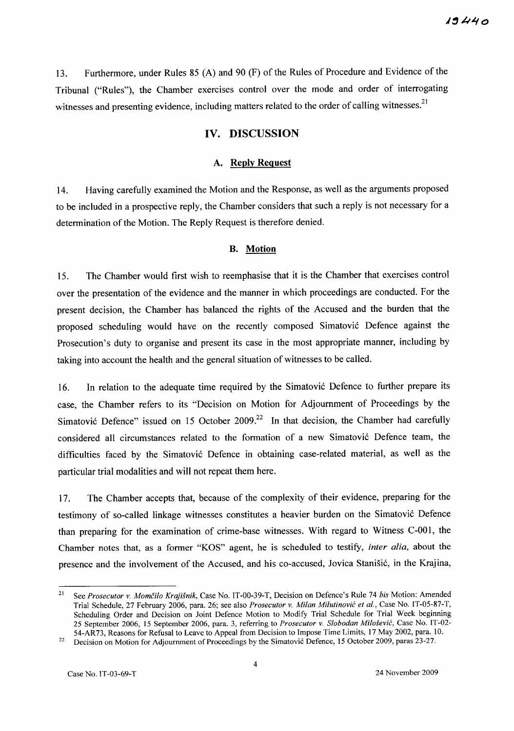13. Furthermore, under Rules 85 (A) and 90 (F) of the Rules of Procedure and Evidence of the Tribunal ("Rules"), the Chamber exercises control over the mode and order of interrogating witnesses and presenting evidence, including matters related to the order of calling witnesses.<sup>21</sup>

## **IV. DISCUSSION**

#### A. **Reply Request**

14. Having carefully examined the Motion and the Response, as well as the arguments proposed to be included in a prospective reply, the Chamber considers that such a reply is not necessary for a determination of the Motion. The Reply Request is therefore denied.

#### **B. Motion**

15. The Chamber would first wish to reemphasise that it is the Chamber that exercises control over the presentation of the evidence and the manner in which proceedings are conducted. For the present decision, the Chamber has balanced the rights of the Accused and the burden that the proposed scheduling would have on the recently composed Simatovic Defence against the Prosecution's duty to organise and present its case in the most appropriate manner, including by taking into account the health and the general situation of witnesses to be called.

16. In relation to the adequate time required by the Simatovic Defence to further prepare its case, the Chamber refers to its "Decision on Motion for Adjournment of Proceedings by the Simatović Defence" issued on 15 October 2009.<sup>22</sup> In that decision, the Chamber had carefully considered all circumstances related to the formation of a new Simatovic Defence team, the difficulties faced by the Simatovic Defence in obtaining case-related material, as well as the particular trial modalities and will not repeat them here.

17. The Chamber accepts that, because of the complexity of their evidence, preparing for the testimony of so-called linkage witnesses constitutes a heavier burden on the Simatovic Defence than preparing for the examination of crime-base witnesses. With regard to Witness C-OOl, the Chamber notes that, as a former "KOS" agent, he is scheduled to testify, *inter alia*, about the presence and the involvement of the Accused, and his co-accused, Jovica Stanisic, in the Krajina,

<sup>21</sup> See *Prosecutor* v. *Momcilo Krajisnik,* Case No. IT-00-39-T, Decision on Defence's Rule 74 *his* Motion: Amended Trial Schedule, 27 February 2006, para. 26; see also *Prosecutor* v. *Milan Milutinovic et aI.,* Case No. IT-05-87-T, Scheduling Order and Decision on Joint Defence Motion to Modify Trial Schedule for Trial Week beginning 25 September 2006, 15 September 2006, para. 3, referring to *Prosecutor* v. *Slobodan Milosevic,* Case No. IT-02- 54-AR73, Reasons for Refusal to Leave to Appeal from Decision to Impose Time Limits, 17 May 2002, para. 10.

<sup>&</sup>lt;sup>22</sup> Decision on Motion for Adjournment of Proceedings by the Simatovic Defence, 15 October 2009, paras 23-27.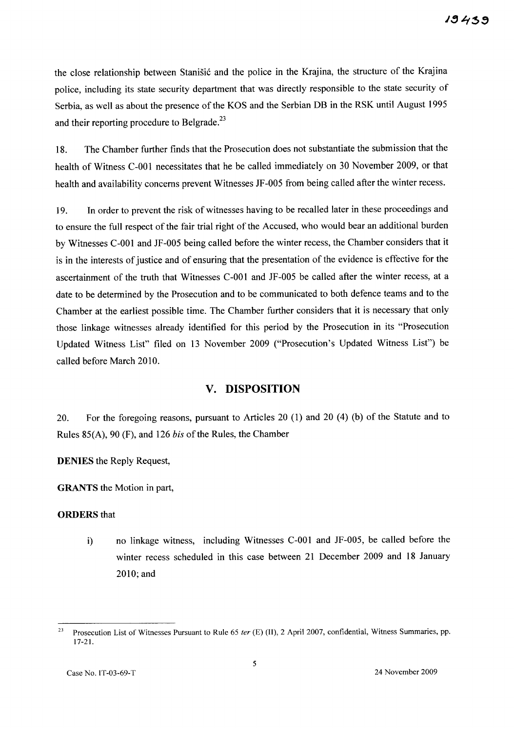the close relationship between Stanišić and the police in the Krajina, the structure of the Krajina police, including its state security department that was directly responsible to the state security of Serbia, as well as about the presence of the KOS and the Serbian DB in the RSK until August 1995 and their reporting procedure to Belgrade.<sup>23</sup>

18. The Chamber further finds that the Prosecution does not substantiate the submission that the health of Witness C-OOl necessitates that he be called immediately on 30 November 2009, or that health and availability concerns prevent Witnesses JF-005 from being called after the winter recess.

19. In order to prevent the risk of witnesses having to be recalled later in these proceedings and to ensure the full respect of the fair trial right of the Accused, who would bear an additional burden by Witnesses C-OOl and JF-005 being called before the winter recess, the Chamber considers that it is in the interests of justice and of ensuring that the presentation of the evidence is effective for the ascertainment of the truth that Witnesses C-OOl and JF-005 be called after the winter recess, at a date to be determined by the Prosecution and to be communicated to both defence teams and to the Chamber at the earliest possible time. The Chamber further considers that it is necessary that only those linkage witnesses already identified for this period by the Prosecution in its "Prosecution Updated Witness List" filed on 13 November 2009 ("Prosecution's Updated Witness List") be called before March 2010.

# v. **DISPOSITION**

20. For the foregoing reasons, pursuant to Articles 20 (1) and 20 (4) (b) of the Statute and to Rules 85(A), 90 (F), and 126 *his* of the Rules, the Chamber

DENIES the Reply Request,

GRANTS the Motion in part,

#### ORDERS that

i) no linkage witness, including Witnesses C-OOl and JF-005, be called before the winter recess scheduled in this case between 21 December 2009 and 18 January 2010; and

<sup>&</sup>lt;sup>23</sup> Prosecution List of Witnesses Pursuant to Rule 65 ter (E) (II), 2 April 2007, confidential, Witness Summaries, pp. 17-21.